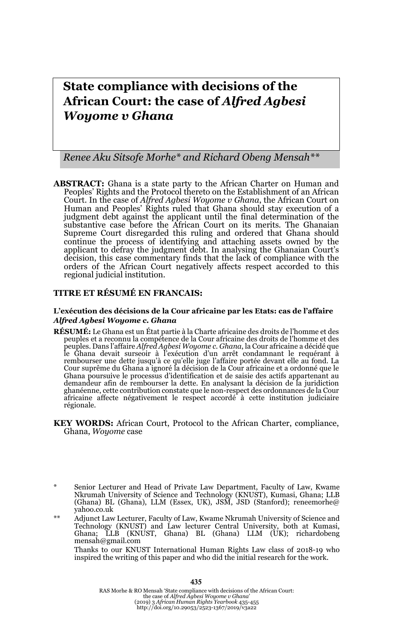# **State compliance with decisions of the African Court: the case of** *Alfred Agbesi Woyome v Ghana*

*Renee Aku Sitsofe Morhe\* and Richard Obeng Mensah\*\**

**ABSTRACT:** Ghana is a state party to the African Charter on Human and Peoples' Rights and the Protocol thereto on the Establishment of an African Court. In the case of *Alfred Agbesi Woyome v Ghana*, the African Court on Human and Peoples' Rights ruled that Ghana should stay execution of a judgment debt against the applicant until the final determination of the substantive case before the African Court on its merits. The Ghanaian Supreme Court disregarded this ruling and ordered that Ghana should continue the process of identifying and attaching assets owned by the applicant to defray the judgment debt. In analysing the Ghanaian Court's decision, this case commentary finds that the lack of compliance with the orders of the African Court negatively affects respect accorded to this regional judicial institution.

#### **TITRE ET RÉSUMÉ EN FRANCAIS:**

#### **L'exécution des décisions de la Cour africaine par les Etats: cas de l'affaire**  *Alfred Agbesi Woyome c. Ghana*

- **RÉSUMÉ:** Le Ghana est un État partie à la Charte africaine des droits de l'homme et des peuples et a reconnu la compétence de la Cour africaine des droits de l'homme et des peuples. Dans l'affaire *Alfred Agbesi Woyome c. Ghana*, la Cour africaine a décidé que le Ghana devait surseoir à l'exécution d'un arrêt condamnant le requérant à rembourser une dette jusqu'à ce qu'elle juge l'affaire portée devant elle au fond. La Cour suprême du Ghana a ignoré la décision de la Cour africaine et a ordonné que le Ghana poursuive le processus d'identification et de saisie des actifs appartenant au demandeur afin de rembourser la dette. En analysant la décision de la juridiction ghanéenne, cette contribution constate que le non-respect des ordonnances de la Cour africaine affecte négativement le respect accordé à cette institution judiciaire régionale.
- **KEY WORDS:** African Court, Protocol to the African Charter, compliance, Ghana, *Woyome* case

\*\* Adjunct Law Lecturer, Faculty of Law, Kwame Nkrumah University of Science and Technology (KNUST) and Law lecturer Central University, both at Kumasi, Ghana; LLB (KNUST, Ghana) BL (Ghana) LLM (UK); richardobeng mensah@gmail.com

Thanks to our KNUST International Human Rights Law class of 2018-19 who inspired the writing of this paper and who did the initial research for the work.

RAS Morhe & RO Mensah 'State compliance with decisions of the African Court: the case of *Alfred Agbesi Woyome v Ghana*' (2019) 3 *African Human Rights Yearbook* 435-455 http://doi.org/10.29053/2523-1367/2019/v3a22

Senior Lecturer and Head of Private Law Department, Faculty of Law, Kwame Nkrumah University of Science and Technology (KNUST), Kumasi, Ghana; LLB (Ghana) BL (Ghana), LLM (Essex, UK), JSM, JSD (Stanford); reneemorhe@ yahoo.co.uk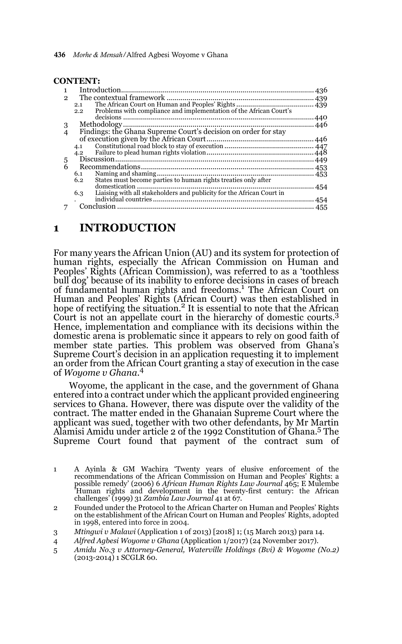| <b>CONTENT:</b> |  |
|-----------------|--|
|-----------------|--|

| 2 |                                                                              |       |
|---|------------------------------------------------------------------------------|-------|
|   | 2.1                                                                          |       |
|   | Problems with compliance and implementation of the African Court's<br>2.2    |       |
|   |                                                                              | . 440 |
| 3 |                                                                              |       |
|   | Findings: the Ghana Supreme Court's decision on order for stay               |       |
|   |                                                                              |       |
|   | 4.1                                                                          |       |
|   | 4.2                                                                          |       |
| 5 |                                                                              |       |
| 6 |                                                                              |       |
|   | 6.1                                                                          |       |
|   | States must become parties to human rights treaties only after<br>6.2        |       |
|   |                                                                              |       |
|   | Liaising with all stakeholders and publicity for the African Court in<br>6.3 |       |
|   |                                                                              |       |
|   |                                                                              |       |
|   |                                                                              |       |

### **1 INTRODUCTION**

For many years the African Union (AU) and its system for protection of human rights, especially the African Commission on Human and Peoples' Rights (African Commission), was referred to as a 'toothless bull dog' because of its inability to enforce decisions in cases of breach of fundamental human rights and freedoms.<sup>1</sup> The African Court on Human and Peoples' Rights (African Court) was then established in hope of rectifying the situation.<sup>2</sup> It is essential to note that the African Court is not an appellate court in the hierarchy of domestic courts.<sup>3</sup> Hence, implementation and compliance with its decisions within the domestic arena is problematic since it appears to rely on good faith of member state parties. This problem was observed from Ghana's Supreme Court's decision in an application requesting it to implement an order from the African Court granting a stay of execution in the case of *Woyome v Ghana*. 4

Woyome, the applicant in the case, and the government of Ghana entered into a contract under which the applicant provided engineering services to Ghana. However, there was dispute over the validity of the contract. The matter ended in the Ghanaian Supreme Court where the applicant was sued, together with two other defendants, by Mr Martin Alamisi Amidu under article 2 of the 1992 Constitution of Ghana.5 The Supreme Court found that payment of the contract sum of

- 1 A Ayinla & GM Wachira 'Twenty years of elusive enforcement of the recommendations of the African Commission on Human and Peoples' Rights: a possible remedy' (2006) 6 *African Human Rights Law Journal* 465; E Mulembe 'Human rights and development in the twenty-first century: the African challenges' (1999) 31 *Zambia Law Journal* 41 at 67.
- 2 Founded under the Protocol to the African Charter on Human and Peoples' Rights on the establishment of the African Court on Human and Peoples' Rights, adopted in 1998, entered into force in 2004.
- 3 *Mtingwi v Malawi* (Application 1 of 2013) [2018] 1; (15 March 2013) para 14.
- 4 *Alfred Agbesi Woyome v Ghana* (Application 1/2017) (24 November 2017).
- 5 *Amidu No.3 v Attorney-General, Waterville Holdings (Bvi) & Woyome (No.2)* (2013-2014) 1 SCGLR 60.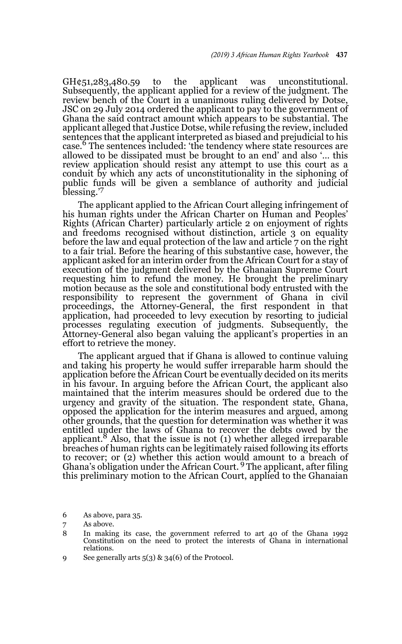GH¢51,283,480.59 to the applicant was unconstitutional. Subsequently, the applicant applied for a review of the judgment. The review bench of the Court in a unanimous ruling delivered by Dotse, JSC on 29 July 2014 ordered the applicant to pay to the government of Ghana the said contract amount which appears to be substantial. The applicant alleged that Justice Dotse, while refusing the review, included sentences that the applicant interpreted as biased and prejudicial to his case.6 The sentences included: 'the tendency where state resources are allowed to be dissipated must be brought to an end' and also '… this review application should resist any attempt to use this court as a conduit by which any acts of unconstitutionality in the siphoning of public funds will be given a semblance of authority and judicial blessing.'<sup>7</sup>

The applicant applied to the African Court alleging infringement of his human rights under the African Charter on Human and Peoples' Rights (African Charter) particularly article 2 on enjoyment of rights and freedoms recognised without distinction, article 3 on equality before the law and equal protection of the law and article 7 on the right to a fair trial. Before the hearing of this substantive case, however, the applicant asked for an interim order from the African Court for a stay of execution of the judgment delivered by the Ghanaian Supreme Court requesting him to refund the money. He brought the preliminary motion because as the sole and constitutional body entrusted with the responsibility to represent the government of Ghana in civil proceedings, the Attorney-General, the first respondent in that application, had proceeded to levy execution by resorting to judicial processes regulating execution of judgments. Subsequently, the Attorney-General also began valuing the applicant's properties in an effort to retrieve the money.

The applicant argued that if Ghana is allowed to continue valuing and taking his property he would suffer irreparable harm should the application before the African Court be eventually decided on its merits in his favour. In arguing before the African Court, the applicant also maintained that the interim measures should be ordered due to the urgency and gravity of the situation. The respondent state, Ghana, opposed the application for the interim measures and argued, among other grounds, that the question for determination was whether it was entitled under the laws of Ghana to recover the debts owed by the applicant.<sup>8</sup> Also, that the issue is not  $(1)$  whether alleged irreparable breaches of human rights can be legitimately raised following its efforts to recover; or (2) whether this action would amount to a breach of Ghana's obligation under the African Court. 9 The applicant, after filing this preliminary motion to the African Court, applied to the Ghanaian

6 As above, para 35.

9 See generally arts 5(3) & 34(6) of the Protocol.

<sup>7</sup> As above.

<sup>8</sup> In making its case, the government referred to art 40 of the Ghana 1992 Constitution on the need to protect the interests of Ghana in international relations.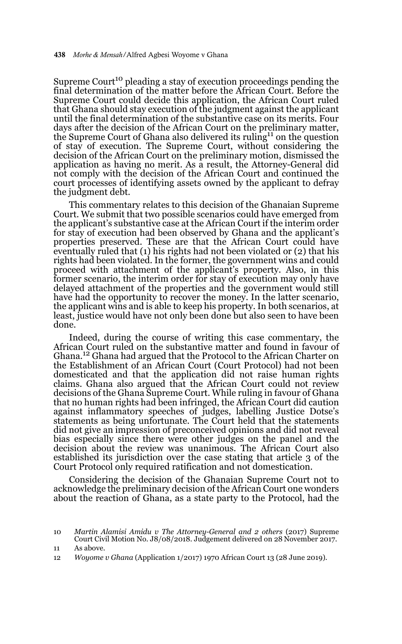Supreme Court<sup>10</sup> pleading a stay of execution proceedings pending the final determination of the matter before the African Court. Before the Supreme Court could decide this application, the African Court ruled that Ghana should stay execution of the judgment against the applicant until the final determination of the substantive case on its merits. Four days after the decision of the African Court on the preliminary matter, the Supreme Court of Ghana also delivered its ruling<sup>11</sup> on the question of stay of execution. The Supreme Court, without considering the decision of the African Court on the preliminary motion, dismissed the application as having no merit. As a result, the Attorney-General did not comply with the decision of the African Court and continued the court processes of identifying assets owned by the applicant to defray the judgment debt.

This commentary relates to this decision of the Ghanaian Supreme Court. We submit that two possible scenarios could have emerged from the applicant's substantive case at the African Court if the interim order for stay of execution had been observed by Ghana and the applicant's properties preserved. These are that the African Court could have eventually ruled that (1) his rights had not been violated or (2) that his rights had been violated. In the former, the government wins and could proceed with attachment of the applicant's property. Also, in this former scenario, the interim order for stay of execution may only have delayed attachment of the properties and the government would still have had the opportunity to recover the money. In the latter scenario, the applicant wins and is able to keep his property. In both scenarios, at least, justice would have not only been done but also seen to have been done.

Indeed, during the course of writing this case commentary, the African Court ruled on the substantive matter and found in favour of Ghana.<sup>12</sup> Ghana had argued that the Protocol to the African Charter on the Establishment of an African Court (Court Protocol) had not been domesticated and that the application did not raise human rights claims. Ghana also argued that the African Court could not review decisions of the Ghana Supreme Court. While ruling in favour of Ghana that no human rights had been infringed, the African Court did caution against inflammatory speeches of judges, labelling Justice Dotse's statements as being unfortunate. The Court held that the statements did not give an impression of preconceived opinions and did not reveal bias especially since there were other judges on the panel and the decision about the review was unanimous. The African Court also established its jurisdiction over the case stating that article 3 of the Court Protocol only required ratification and not domestication.

Considering the decision of the Ghanaian Supreme Court not to acknowledge the preliminary decision of the African Court one wonders about the reaction of Ghana, as a state party to the Protocol, had the

<sup>10</sup> *Martin Alamisi Amidu v The Attorney-General and 2 others* (2017) Supreme Court Civil Motion No. J8/08/2018. Judgement delivered on 28 November 2017.

<sup>11</sup> As above.

<sup>12</sup> *Woyome v Ghana* (Application 1/2017) 1970 African Court 13 (28 June 2019).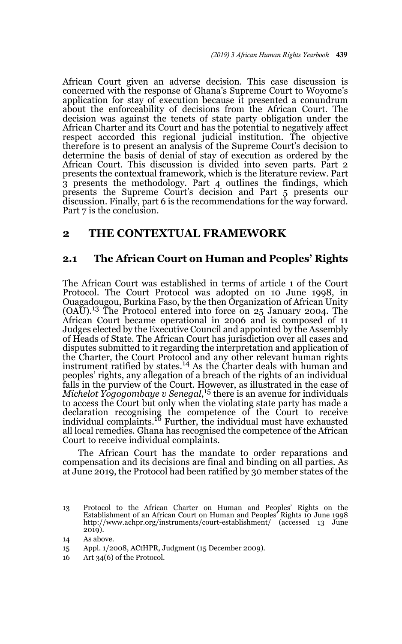African Court given an adverse decision. This case discussion is concerned with the response of Ghana's Supreme Court to Woyome's application for stay of execution because it presented a conundrum about the enforceability of decisions from the African Court. The decision was against the tenets of state party obligation under the African Charter and its Court and has the potential to negatively affect respect accorded this regional judicial institution. The objective therefore is to present an analysis of the Supreme Court's decision to determine the basis of denial of stay of execution as ordered by the African Court. This discussion is divided into seven parts. Part 2 presents the contextual framework, which is the literature review. Part 3 presents the methodology. Part 4 outlines the findings, which presents the Supreme Court's decision and Part 5 presents our discussion. Finally, part 6 is the recommendations for the way forward. Part 7 is the conclusion.

### **2 THE CONTEXTUAL FRAMEWORK**

#### **2.1 The African Court on Human and Peoples' Rights**

The African Court was established in terms of article 1 of the Court Protocol. The Court Protocol was adopted on 10 June 1998, in Ouagadougou, Burkina Faso, by the then Organization of African Unity  $(OA\breve{U})$ .<sup>13</sup> The Protocol entered into force on 25 January 2004. The African Court became operational in 2006 and is composed of 11 Judges elected by the Executive Council and appointed by the Assembly of Heads of State. The African Court has jurisdiction over all cases and disputes submitted to it regarding the interpretation and application of the Charter, the Court Protocol and any other relevant human rights instrument ratified by states.<sup>14</sup> As the Charter deals with human and peoples' rights, any allegation of a breach of the rights of an individual falls in the purview of the Court. However, as illustrated in the case of *Michelot Yogogombaye v Senegal*, 15 there is an avenue for individuals to access the Court but only when the violating state party has made a declaration recognising the competence of the Court to receive<br>individual complaints.<sup>16</sup> Further, the individual must have exhausted all local remedies. Ghana has recognised the competence of the African Court to receive individual complaints.

The African Court has the mandate to order reparations and compensation and its decisions are final and binding on all parties. As at June 2019, the Protocol had been ratified by 30 member states of the

<sup>13</sup> Protocol to the African Charter on Human and Peoples' Rights on the Establishment of an African Court on Human and Peoples' Rights 10 June 1998 http://www.achpr.org/instruments/court-establishment/ (accessed 13 June 2019).

<sup>14</sup> As above.

<sup>15</sup> Appl. 1/2008, ACtHPR, Judgment (15 December 2009).

<sup>16</sup> Art 34(6) of the Protocol.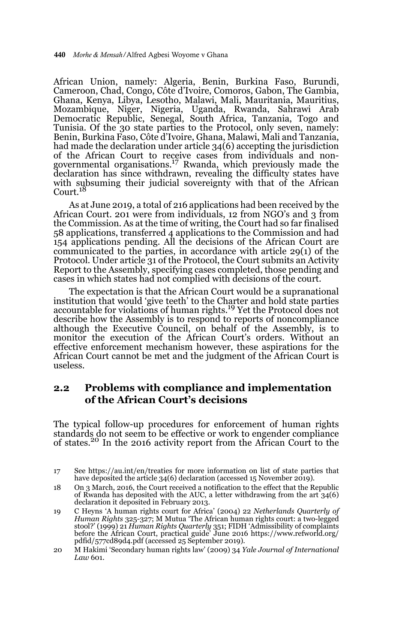African Union, namely: Algeria, Benin, Burkina Faso, Burundi, Cameroon, Chad, Congo, Côte d'Ivoire, Comoros, Gabon, The Gambia, Ghana, Kenya, Libya, Lesotho, Malawi, Mali, Mauritania, Mauritius, Mozambique, Niger, Nigeria, Uganda, Rwanda, Sahrawi Arab Democratic Republic, Senegal, South Africa, Tanzania, Togo and Tunisia. Of the 30 state parties to the Protocol, only seven, namely: Benin, Burkina Faso, Côte d'Ivoire, Ghana, Malawi, Mali and Tanzania, had made the declaration under article 34(6) accepting the jurisdiction of the African Court to receive cases from individuals and non-governmental organisations.17 Rwanda, which previously made the declaration has since withdrawn, revealing the difficulty states have with subsuming their judicial sovereignty with that of the African Court.<sup>18</sup>

As at June 2019, a total of 216 applications had been received by the African Court. 201 were from individuals, 12 from NGO's and 3 from the Commission. As at the time of writing, the Court had so far finalised 58 applications, transferred 4 applications to the Commission and had 154 applications pending. All the decisions of the African Court are communicated to the parties, in accordance with article 29(1) of the Protocol. Under article 31 of the Protocol, the Court submits an Activity Report to the Assembly, specifying cases completed, those pending and cases in which states had not complied with decisions of the court.

The expectation is that the African Court would be a supranational institution that would 'give teeth' to the Charter and hold state parties accountable for violations of human rights.19 Yet the Protocol does not describe how the Assembly is to respond to reports of noncompliance although the Executive Council, on behalf of the Assembly, is to monitor the execution of the African Court's orders. Without an effective enforcement mechanism however, these aspirations for the African Court cannot be met and the judgment of the African Court is useless.

### **2.2 Problems with compliance and implementation of the African Court's decisions**

The typical follow-up procedures for enforcement of human rights standards do not seem to be effective or work to engender compliance of states.20 In the 2016 activity report from the African Court to the

- 18 On 3 March, 2016, the Court received a notification to the effect that the Republic of Rwanda has deposited with the AUC, a letter withdrawing from the art 34(6) declaration it deposited in February 2013.
- 19 C Heyns 'A human rights court for Africa' (2004) 22 *Netherlands Quarterly of Human Rights* 325-327; M Mutua 'The African human rights court: a two-legged stool?' (1999) 21 *Human Rights Quarterly* 351; FIDH 'Admissibility of complaints before the African Court, practical guide' June 2016 https://www.refworld.org/ pdfid/577cd89d4.pdf (accessed 25 September 2019).
- 20 M Hakimi 'Secondary human rights law' (2009) 34 *Yale Journal of International Law* 601.

<sup>17</sup> See https://au.int/en/treaties for more information on list of state parties that have deposited the article 34(6) declaration (accessed 15 November 2019).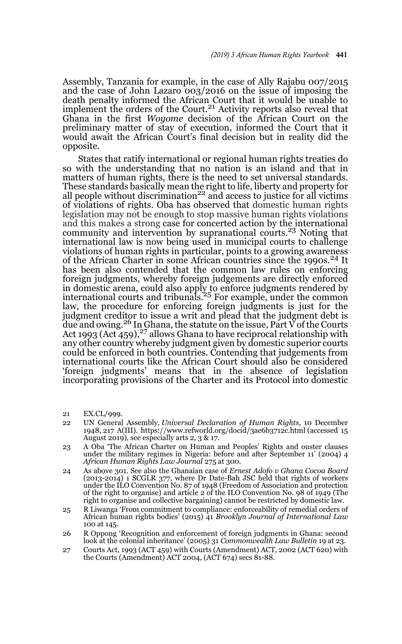Assembly, Tanzania for example, in the case of Ally Rajabu 007/2015 and the case of John Lazaro 003/2016 on the issue of imposing the death penalty informed the African Court that it would be unable to implement the orders of the Court.<sup>21</sup> Activity reports also reveal that Ghana in the first *Woyome* decision of the African Court on the preliminary matter of stay of execution, informed the Court that it would await the African Court's final decision but in reality did the opposite.

States that ratify international or regional human rights treaties do so with the understanding that no nation is an island and that in matters of human rights, there is the need to set universal standards. These standards basically mean the right to life, liberty and property for all people without discrimination<sup>22</sup> and access to justice for all victims of violations of rights. Oba has observed that domestic human rights legislation may not be enough to stop massive human rights violations and this makes a strong case for concerted action by the international community and intervention by supranational courts.<sup>23</sup> Noting that international law is now being used in municipal courts to challenge violations of human rights in particular, points to a growing awareness of the African Charter in some African countries since the 1990s.<sup>24</sup> It has been also contended that the common law rules on enforcing foreign judgments, whereby foreign judgements are directly enforced in domestic arena, could also apply to enforce judgments rendered by<br>international courts and tribunals.<sup>25</sup> For example, under the common law, the procedure for enforcing foreign judgments is just for the judgment creditor to issue a writ and plead that the judgment debt is due and owing.<sup>26</sup> In Ghana, the statute on the issue, Part  $\breve{V}$  of the Courts Act 1993 (Act  $459$ ),<sup>27</sup> allows Ghana to have reciprocal relationship with any other country whereby judgment given by domestic superior courts could be enforced in both countries. Contending that judgements from international courts like the African Court should also be considered 'foreign judgments' means that in the absence of legislation incorporating provisions of the Charter and its Protocol into domestic

- 21 EX.CL/999.
- 22 UN General Assembly, *Universal Declaration of Human Rights*, 10 December 1948, 217 A(III). https://www.refworld.org/docid/3ae6b3712c.html (accessed 15 August 2019), see especially arts 2, 3 & 17.
- 23 A Oba 'The African Charter on Human and Peoples' Rights and ouster clauses under the military regimes in Nigeria: before and after September 11' (2004) 4 *African Human Rights Law Journal* 275 at 300.
- 24 As above 301. See also the Ghanaian case of *Ernest Adofo v Ghana Cocoa Board* (2013-2014) 1 SCGLR 377, where Dr Date-Bah JSC held that rights of workers under the ILO Convention No. 87 of 1948 (Freedom of Association and protection of the right to organise) and article 2 of the ILO Convention No. 98 of 1949 (The right to organise and collective bargaining) cannot be restricted by domestic law.
- 25 R Liwanga 'From commitment to compliance: enforceability of remedial orders of African human rights bodies' (2015) 41 *Brooklyn Journal of International Law* 100 at 145.
- 26 R Oppong 'Recognition and enforcement of foreign judgments in Ghana: second look at the colonial inheritance' (2005) 31 *Commonwealth Law Bulletin* 19 at 23.
- 27 Courts Act, 1993 (ACT 459) with Courts (Amendment) ACT, 2002 (ACT 620) with the Courts (Amendment) ACT 2004, (ACT 674) secs 81-88.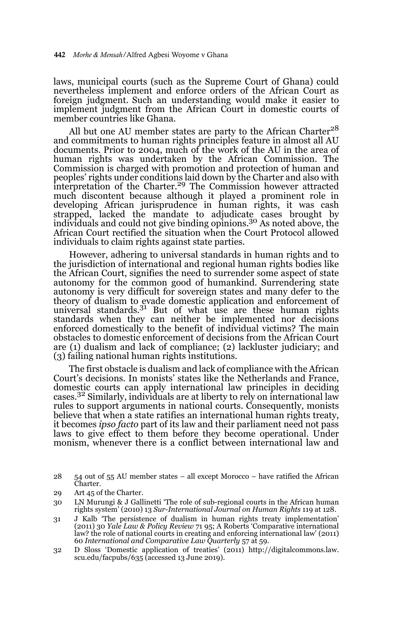laws, municipal courts (such as the Supreme Court of Ghana) could nevertheless implement and enforce orders of the African Court as foreign judgment. Such an understanding would make it easier to implement judgment from the African Court in domestic courts of member countries like Ghana.

All but one AU member states are party to the African Charter<sup>28</sup> and commitments to human rights principles feature in almost all AU documents. Prior to 2004, much of the work of the AU in the area of human rights was undertaken by the African Commission. The Commission is charged with promotion and protection of human and peoples' rights under conditions laid down by the Charter and also with interpretation of the Charter.29 The Commission however attracted much discontent because although it played a prominent role in developing African jurisprudence in human rights, it was cash strapped, lacked the mandate to adjudicate cases brought by<br>individuals and could not give binding opinions.<sup>30</sup> As noted above, the African Court rectified the situation when the Court Protocol allowed individuals to claim rights against state parties.

However, adhering to universal standards in human rights and to the jurisdiction of international and regional human rights bodies like the African Court, signifies the need to surrender some aspect of state autonomy for the common good of humankind. Surrendering state autonomy is very difficult for sovereign states and many defer to the theory of dualism to evade domestic application and enforcement of universal standards. $3<sup>1</sup>$  But of what use are these human rights standards when they can neither be implemented nor decisions enforced domestically to the benefit of individual victims? The main obstacles to domestic enforcement of decisions from the African Court are (1) dualism and lack of compliance; (2) lackluster judiciary; and (3) failing national human rights institutions.

The first obstacle is dualism and lack of compliance with the African Court's decisions. In monists' states like the Netherlands and France, domestic courts can apply international law principles in deciding cases.32 Similarly, individuals are at liberty to rely on international law rules to support arguments in national courts. Consequently, monists believe that when a state ratifies an international human rights treaty, it becomes *ipso facto* part of its law and their parliament need not pass laws to give effect to them before they become operational. Under monism, whenever there is a conflict between international law and

- 31 J Kalb 'The persistence of dualism in human rights treaty implementation' (2011) 30 *Yale Law & Policy Review* 71 95; A Roberts 'Comparative international law? the role of national courts in creating and enforcing international law' (2011) 60 *International and Comparative Law Quarterly* 57 at 59.
- 32 D Sloss 'Domestic application of treaties' (2011) http://digitalcommons.law. scu.edu/facpubs/635 (accessed 13 June 2019).

<sup>28 54</sup> out of 55 AU member states – all except Morocco – have ratified the African Charter.

<sup>29</sup> Art 45 of the Charter.

<sup>30</sup> LN Murungi & J Gallinetti 'The role of sub-regional courts in the African human rights system' (2010) 13 *Sur-International Journal on Human Rights* 119 at 128.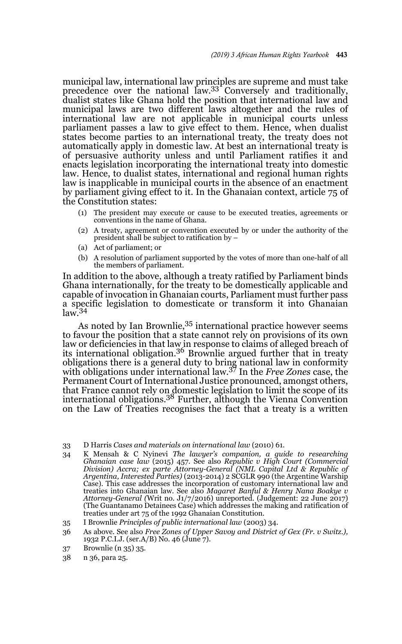municipal law, international law principles are supreme and must take precedence over the national law.33 Conversely and traditionally, dualist states like Ghana hold the position that international law and municipal laws are two different laws altogether and the rules of international law are not applicable in municipal courts unless parliament passes a law to give effect to them. Hence, when dualist states become parties to an international treaty, the treaty does not automatically apply in domestic law. At best an international treaty is of persuasive authority unless and until Parliament ratifies it and enacts legislation incorporating the international treaty into domestic law. Hence, to dualist states, international and regional human rights law is inapplicable in municipal courts in the absence of an enactment by parliament giving effect to it. In the Ghanaian context, article 75 of the Constitution states:

- (1) The president may execute or cause to be executed treaties, agreements or conventions in the name of Ghana.
- (2) A treaty, agreement or convention executed by or under the authority of the president shall be subject to ratification by –
- (a) Act of parliament; or
- (b) A resolution of parliament supported by the votes of more than one-half of all the members of parliament.

In addition to the above, although a treaty ratified by Parliament binds Ghana internationally, for the treaty to be domestically applicable and capable of invocation in Ghanaian courts, Parliament must further pass a specific legislation to domesticate or transform it into Ghanaian  $law<sup>34</sup>$ 

As noted by Ian Brownlie,<sup>35</sup> international practice however seems to favour the position that a state cannot rely on provisions of its own law or deficiencies in that law in response to claims of alleged breach of its international obligation.36 Brownlie argued further that in treaty obligations there is a general duty to bring national law in conformity with obligations under international law.37 In the *Free Zones* case, the Permanent Court of International Justice pronounced, amongst others, that France cannot rely on domestic legislation to limit the scope of its<br>international obligations.<sup>38</sup> Further, although the Vienna Convention on the Law of Treaties recognises the fact that a treaty is a written

34 K Mensah & C Nyinevi *The lawyer's companion, a guide to researching Ghanaian case law* (2015) 457. See also *Republic v High Court (Commercial* Division) Accra; ex parte Attorney-General (NML Capital Ltd & Republic of<br>Argentina, Interested Parties) (2013-2014) 2 SCGLR 990 (the Argentine Warship<br>Case). This case addresses the incorporation of customary internationa treaties into Ghanaian law. See also *Magaret Banful & Henry Nana Boakye v Attorney-General (*Writ no. J1/7/2016) unreported. (Judgement: 22 June 2017) (The Guantanamo Detainees Case) which addresses the making and ratification of treaties under art 75 of the 1992 Ghanaian Constitution.

- 36 As above. See also *Free Zones of Upper Savoy and District of Gex (Fr. v Switz.),* 1932 P.C.I.J. (ser.A/B) No. 46 (June 7).
- 37 Brownlie (n 35) 35.
- 38 n 36, para 25.

<sup>33</sup> D Harris *Cases and materials on international law* (2010) 61.

<sup>35</sup> I Brownlie *Principles of public international law* (2003) 34.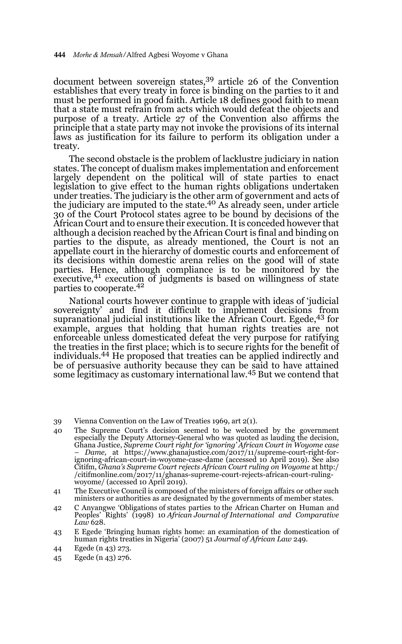document between sovereign states,<sup>39</sup> article 26 of the Convention establishes that every treaty in force is binding on the parties to it and must be performed in good faith. Article 18 defines good faith to mean that a state must refrain from acts which would defeat the objects and purpose of a treaty. Article 27 of the Convention also affirms the principle that a state party may not invoke the provisions of its internal laws as justification for its failure to perform its obligation under a treaty.

The second obstacle is the problem of lacklustre judiciary in nation states. The concept of dualism makes implementation and enforcement largely dependent on the political will of state parties to enact legislation to give effect to the human rights obligations undertaken under treaties. The judiciary is the other arm of government and acts of the judiciary are imputed to the state.<sup>40</sup> As already seen, under article 30 of the Court Protocol states agree to be bound by decisions of the African Court and to ensure their execution. It is conceded however that although a decision reached by the African Court is final and binding on parties to the dispute, as already mentioned, the Court is not an appellate court in the hierarchy of domestic courts and enforcement of its decisions within domestic arena relies on the good will of state parties. Hence, although compliance is to be monitored by the executive,<sup>41</sup> execution of judgments is based on willingness of state parties to cooperate.<sup>42</sup>

National courts however continue to grapple with ideas of 'judicial sovereignty' and find it difficult to implement decisions from supranational judicial institutions like the African Court. Egede,43 for example, argues that holding that human rights treaties are not enforceable unless domesticated defeat the very purpose for ratifying the treaties in the first place; which is to secure rights for the benefit of individuals.44 He proposed that treaties can be applied indirectly and be of persuasive authority because they can be said to have attained some legitimacy as customary international law.45 But we contend that

<sup>39</sup> Vienna Convention on the Law of Treaties 1969, art 2(1).

<sup>40</sup> The Supreme Court's decision seemed to be welcomed by the government especially the Deputy Attorney-General who was quoted as lauding the decision, Ghana Justice, *Supreme Court right for 'ignoring' African Court in Woyome case – Dame,* at https://www.ghanajustice.com/2017/11/supreme-court-right-forignoring-african-court-in-woyome-case-dame (accessed 10 April 2019). See also Citifm, *Ghana's Supreme Court rejects African Court ruling on Woyome* at http:/ /citifmonline.com/2017/11/ghanas-supreme-court-rejects-african-court-rulingwoyome/ (accessed 10 April 2019).

<sup>41</sup> The Executive Council is composed of the ministers of foreign affairs or other such ministers or authorities as are designated by the governments of member states.

<sup>42</sup> C Anyangwe 'Obligations of states parties to the African Charter on Human and Peoples' Rights' (1998) 10 *African Journal of International and Comparative Law* 628.

<sup>43</sup> E Egede 'Bringing human rights home: an examination of the domestication of human rights treaties in Nigeria' (2007) 51 *Journal of African Law* 249.

<sup>44</sup> Egede (n 43) 273.

<sup>45</sup> Egede (n 43) 276.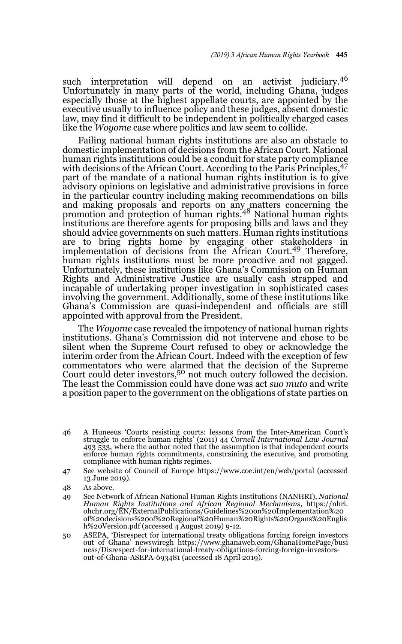such interpretation will depend on an activist judiciary.<sup>46</sup> Unfortunately in many parts of the world, including Ghana, judges especially those at the highest appellate courts, are appointed by the executive usually to influence policy and these judges, absent domestic law, may find it difficult to be independent in politically charged cases like the *Woyome* case where politics and law seem to collide.

Failing national human rights institutions are also an obstacle to domestic implementation of decisions from the African Court. National human rights institutions could be a conduit for state party compliance with decisions of the African Court. According to the Paris Principles, <sup>47</sup> part of the mandate of a national human rights institution is to give advisory opinions on legislative and administrative provisions in force in the particular country including making recommendations on bills and making proposals and reports on any matters concerning the promotion and protection of human rights.<sup>48</sup> National human rights institutions are therefore agents for proposing bills and laws and they should advice governments on such matters. Human rights institutions are to bring rights home by engaging other stakeholders in implementation of decisions from the African Court.<sup>49</sup> Therefore, human rights institutions must be more proactive and not gagged. Unfortunately, these institutions like Ghana's Commission on Human Rights and Administrative Justice are usually cash strapped and incapable of undertaking proper investigation in sophisticated cases involving the government. Additionally, some of these institutions like Ghana's Commission are quasi-independent and officials are still appointed with approval from the President.

The *Woyome* case revealed the impotency of national human rights institutions. Ghana's Commission did not intervene and chose to be silent when the Supreme Court refused to obey or acknowledge the interim order from the African Court. Indeed with the exception of few commentators who were alarmed that the decision of the Supreme<br>Court could deter investors,<sup>50</sup> not much outcry followed the decision. The least the Commission could have done was act *suo muto* and write a position paper to the government on the obligations of state parties on

46 A Huneeus 'Courts resisting courts: lessons from the Inter-American Court's struggle to enforce human rights' (2011) 44 *Cornell International Law Journal* 493 533, where the author noted that the assumption is that independent courts enforce human rights commitments, constraining the executive, and promoting compliance with human rights regimes.

47 See website of Council of Europe https://www.coe.int/en/web/portal (accessed 13 June 2019).

- 48 As above.
- 49 See Network of African National Human Rights Institutions (NANHRI), *National Human Rights Institutions and African Regional Mechanisms*, https://nhri. ohchr.org/EN/ExternalPublications/Guidelines%20on%20Implementation%20 of%20decisions%20of%20Regional%20Human%20Rights%20Organs%20Englis h%20Version.pdf (accessed 4 August 2019) 9-12.
- 50 ASEPA, 'Disrespect for international treaty obligations forcing foreign investors out of Ghana' newswiregh https://www.ghanaweb.com/GhanaHomePage/busi ness/Disrespect-for-international-treaty-obligations-forcing-foreign-investorsout-of-Ghana-ASEPA-693481 (accessed 18 April 2019).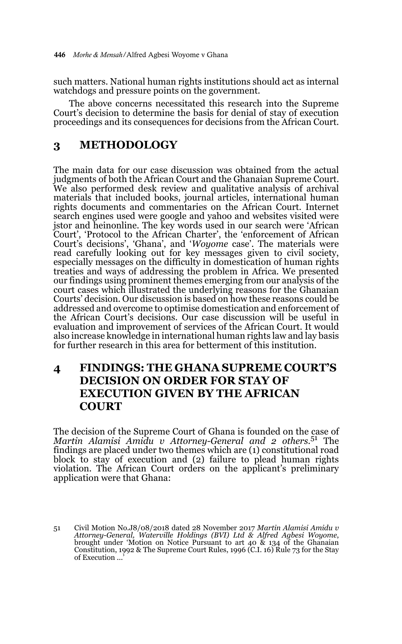such matters. National human rights institutions should act as internal watchdogs and pressure points on the government.

The above concerns necessitated this research into the Supreme Court's decision to determine the basis for denial of stay of execution proceedings and its consequences for decisions from the African Court.

### **3 METHODOLOGY**

The main data for our case discussion was obtained from the actual judgments of both the African Court and the Ghanaian Supreme Court. We also performed desk review and qualitative analysis of archival materials that included books, journal articles, international human rights documents and commentaries on the African Court. Internet search engines used were google and yahoo and websites visited were jstor and heinonline. The key words used in our search were 'African Court', 'Protocol to the African Charter', the 'enforcement of African Court's decisions', 'Ghana', and '*Woyome* case'. The materials were read carefully looking out for key messages given to civil society, especially messages on the difficulty in domestication of human rights treaties and ways of addressing the problem in Africa. We presented our findings using prominent themes emerging from our analysis of the court cases which illustrated the underlying reasons for the Ghanaian Courts' decision. Our discussion is based on how these reasons could be addressed and overcome to optimise domestication and enforcement of the African Court's decisions. Our case discussion will be useful in evaluation and improvement of services of the African Court. It would also increase knowledge in international human rights law and lay basis for further research in this area for betterment of this institution.

## **4 FINDINGS: THE GHANA SUPREME COURT'S DECISION ON ORDER FOR STAY OF EXECUTION GIVEN BY THE AFRICAN COURT**

The decision of the Supreme Court of Ghana is founded on the case of *Martin Alamisi Amidu v Attorney-General and 2 others*. 51 The findings are placed under two themes which are (1) constitutional road block to stay of execution and (2) failure to plead human rights violation. The African Court orders on the applicant's preliminary application were that Ghana:

<sup>51</sup> Civil Motion No.J8/08/2018 dated 28 November 2017 *Martin Alamisi Amidu v Attorney-General, Waterville Holdings (BVI) Ltd & Alfred Agbesi Woyome*, brought under 'Motion on Notice Pursuant to art 40  $\&$  134 of the Ghanaian Constitution, 1992 & The Supreme Court Rules, 1996 (C.I. 16) Rule 73 for the Stay of Execution...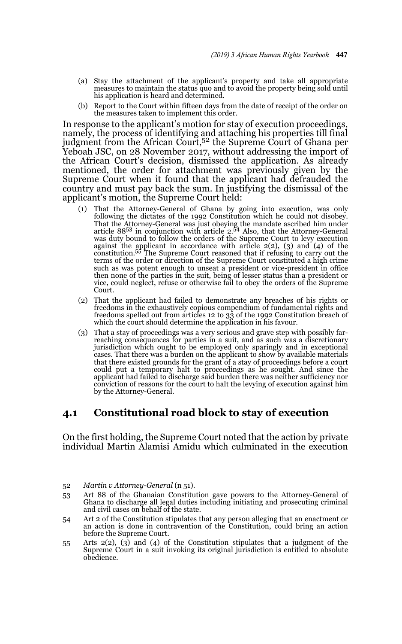- (a) Stay the attachment of the applicant's property and take all appropriate measures to maintain the status quo and to avoid the property being sold until his application is heard and determined.
- (b) Report to the Court within fifteen days from the date of receipt of the order on the measures taken to implement this order.

In response to the applicant's motion for stay of execution proceedings, namely, the process of identifying and attaching his properties till final<br>judgment from the African Court,<sup>52</sup> the Supreme Court of Ghana per Yeboah JSC, on 28 November 2017, without addressing the import of the African Court's decision, dismissed the application. As already mentioned, the order for attachment was previously given by the Supreme Court when it found that the applicant had defrauded the country and must pay back the sum. In justifying the dismissal of the applicant's motion, the Supreme Court held:

- (1) That the Attorney-General of Ghana by going into execution, was only following the dictates of the 1992 Constitution which he could not disobey. That the Attorney-General was just obeying the mandate ascribed him unde was duty bound to follow the orders of the Supreme Court to levy execution against the applicant in accordance with article  $2(2)$ ,  $(3)$  and  $(4)$  of the constitution.<sup>55</sup> The Supreme Court reasoned that if refusing to c such as was potent enough to unseat a president or vice-president in office then none of the parties in the suit, being of lesser status than a president or vice, could neglect, refuse or otherwise fail to obey the orders of the Supreme Court.
- (2) That the applicant had failed to demonstrate any breaches of his rights or freedoms in the exhaustively copious compendium of fundamental rights and freedoms spelled out from articles 12 to 33 of the 1992 Constitution breach of which the court should determine the application in his favour.
- (3) That a stay of proceedings was a very serious and grave step with possibly farreaching consequences for parties in a suit, and as such was a discretionary jurisdiction which ought to be employed only sparingly and in exceptional cases. That there was a burden on the applicant to show by available materials that there existed grounds for the grant of a stay of proceedings before a court could put a temporary halt to proceedings as he sought. And since the applicant had failed to discharge said burden there was neither sufficiency nor conviction of reasons for the court to halt the levying of execution against him by the Attorney-General.

#### **4.1 Constitutional road block to stay of execution**

On the first holding, the Supreme Court noted that the action by private individual Martin Alamisi Amidu which culminated in the execution

- 54 Art 2 of the Constitution stipulates that any person alleging that an enactment or an action is done in contravention of the Constitution, could bring an action before the Supreme Court.
- 55 Arts 2(2), (3) and (4) of the Constitution stipulates that a judgment of the Supreme Court in a suit invoking its original jurisdiction is entitled to absolute obedience.

<sup>52</sup> *Martin v Attorney-General* (n 51).

<sup>53</sup> Art 88 of the Ghanaian Constitution gave powers to the Attorney-General of Ghana to discharge all legal duties including initiating and prosecuting criminal and civil cases on behalf of the state.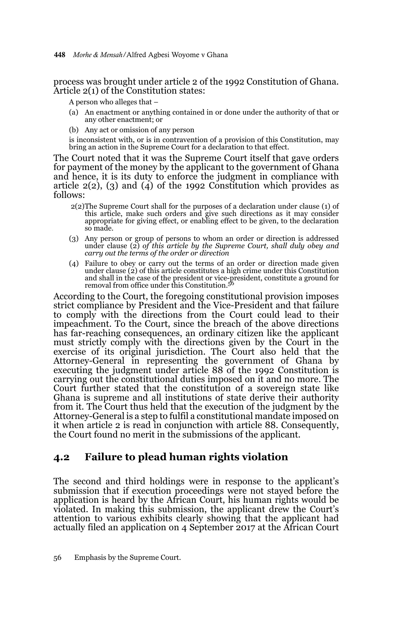448 *Morhe & Mensah/*Alfred Agbesi Woyome v Ghana

process was brought under article 2 of the 1992 Constitution of Ghana. Article 2(1) of the Constitution states:

A person who alleges that –

- (a) An enactment or anything contained in or done under the authority of that or any other enactment; or
- (b) Any act or omission of any person

is inconsistent with, or is in contravention of a provision of this Constitution, may bring an action in the Supreme Court for a declaration to that effect.

The Court noted that it was the Supreme Court itself that gave orders for payment of the money by the applicant to the government of Ghana and hence, it is its duty to enforce the judgment in compliance with article  $2(2)$ ,  $(3)$  and  $(4)$  of the 1992 Constitution which provides as follows:

- 2(2)The Supreme Court shall for the purposes of a declaration under clause (1) of this article, make such orders and give such directions as it may consider appropriate for giving effect, or enabling effect to be given, to the declaration so made.
- (3) Any person or group of persons to whom an order or direction is addressed under clause (2) *of this article by the Supreme Court, shall duly obey and carry out the terms of the order or direction*
- (4) Failure to obey or carry out the terms of an order or direction made given under clause (2) of this article constitutes a high crime under this Constitution and shall in the case of the president or vice-president, constitute a ground for removal from office under this Constitution.56

According to the Court, the foregoing constitutional provision imposes strict compliance by President and the Vice-President and that failure to comply with the directions from the Court could lead to their impeachment. To the Court, since the breach of the above directions has far-reaching consequences, an ordinary citizen like the applicant must strictly comply with the directions given by the Court in the exercise of its original jurisdiction. The Court also held that the Attorney-General in representing the government of Ghana by executing the judgment under article 88 of the 1992 Constitution is carrying out the constitutional duties imposed on it and no more. The Court further stated that the constitution of a sovereign state like Ghana is supreme and all institutions of state derive their authority from it. The Court thus held that the execution of the judgment by the Attorney-General is a step to fulfil a constitutional mandate imposed on it when article 2 is read in conjunction with article 88. Consequently, the Court found no merit in the submissions of the applicant.

### **4.2 Failure to plead human rights violation**

The second and third holdings were in response to the applicant's submission that if execution proceedings were not stayed before the application is heard by the African Court, his human rights would be violated. In making this submission, the applicant drew the Court's attention to various exhibits clearly showing that the applicant had actually filed an application on 4 September 2017 at the African Court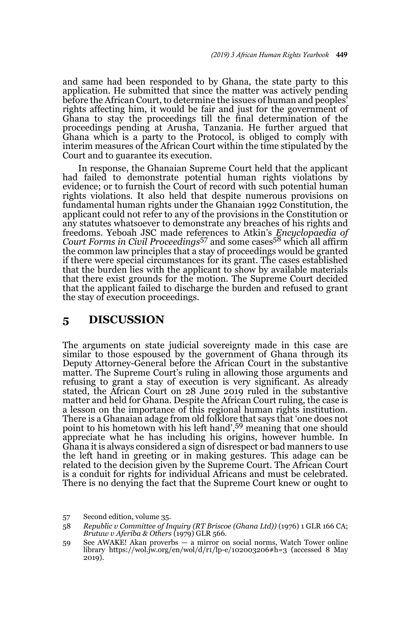and same had been responded to by Ghana, the state party to this application. He submitted that since the matter was actively pending before the African Court, to determine the issues of human and peoples' rights affecting him, it would be fair and just for the government of Ghana to stay the proceedings till the final determination of the proceedings pending at Arusha, Tanzania. He further argued that Ghana which is a party to the Protocol, is obliged to comply with interim measures of the African Court within the time stipulated by the Court and to guarantee its execution.

In response, the Ghanaian Supreme Court held that the applicant had failed to demonstrate potential human rights violations by evidence; or to furnish the Court of record with such potential human rights violations. It also held that despite numerous provisions on fundamental human rights under the Ghanaian 1992 Constitution, the applicant could not refer to any of the provisions in the Constitution or any statutes whatsoever to demonstrate any breaches of his rights and freedoms. Yeboah JSC made references to Atkin's *Encyclopaedia of Court Forms in Civil Proceedings*57 and some cases58 which all affirm the common law principles that a stay of proceedings would be granted if there were special circumstances for its grant. The cases established that the burden lies with the applicant to show by available materials that there exist grounds for the motion. The Supreme Court decided that the applicant failed to discharge the burden and refused to grant the stay of execution proceedings.

### **5 DISCUSSION**

The arguments on state judicial sovereignty made in this case are similar to those espoused by the government of Ghana through its Deputy Attorney-General before the African Court in the substantive matter. The Supreme Court's ruling in allowing those arguments and refusing to grant a stay of execution is very significant. As already stated, the African Court on 28 June 2019 ruled in the substantive matter and held for Ghana. Despite the African Court ruling, the case is a lesson on the importance of this regional human rights institution. There is a Ghanaian adage from old folklore that says that 'one does not point to his hometown with his left hand',59 meaning that one should appreciate what he has including his origins, however humble. In Ghana it is always considered a sign of disrespect or bad manners to use the left hand in greeting or in making gestures. This adage can be related to the decision given by the Supreme Court. The African Court is a conduit for rights for individual Africans and must be celebrated. There is no denying the fact that the Supreme Court knew or ought to

<sup>57</sup> Second edition, volume 35.

<sup>58</sup> *Republic v Committee of Inquiry (RT Briscoe (Ghana Ltd))* (1976) 1 GLR 166 CA; *Brutuw v Aferiba & Others* (1979) GLR 566.

<sup>59</sup> See AWAKE! Akan proverbs — a mirror on social norms, Watch Tower online library https://wol.jw.org/en/wol/d/r1/lp-e/102003206#h=3 (accessed 8 May 2019).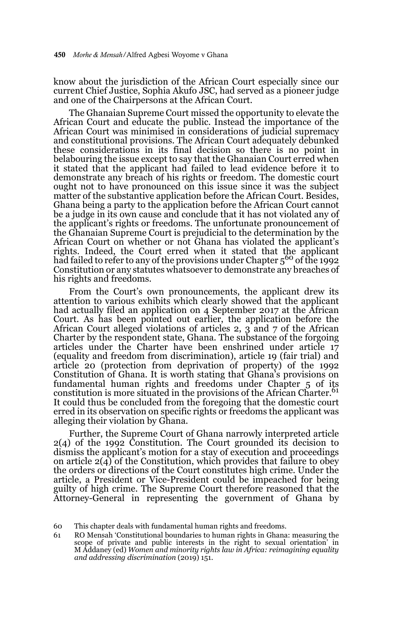know about the jurisdiction of the African Court especially since our current Chief Justice, Sophia Akufo JSC, had served as a pioneer judge and one of the Chairpersons at the African Court.

The Ghanaian Supreme Court missed the opportunity to elevate the African Court and educate the public. Instead the importance of the African Court was minimised in considerations of judicial supremacy and constitutional provisions. The African Court adequately debunked these considerations in its final decision so there is no point in belabouring the issue except to say that the Ghanaian Court erred when it stated that the applicant had failed to lead evidence before it to demonstrate any breach of his rights or freedom. The domestic court ought not to have pronounced on this issue since it was the subject matter of the substantive application before the African Court. Besides, Ghana being a party to the application before the African Court cannot be a judge in its own cause and conclude that it has not violated any of the applicant's rights or freedoms. The unfortunate pronouncement of the Ghanaian Supreme Court is prejudicial to the determination by the African Court on whether or not Ghana has violated the applicant's rights. Indeed, the Court erred when it stated that the applicant had failed to refer to any of the provisions under Chapter  $5^{60}$  of the 1992 Constitution or any statutes whatsoever to demonstrate any breaches of his rights and freedoms.

From the Court's own pronouncements, the applicant drew its attention to various exhibits which clearly showed that the applicant had actually filed an application on 4 September 2017 at the African Court. As has been pointed out earlier, the application before the African Court alleged violations of articles 2, 3 and 7 of the African Charter by the respondent state, Ghana. The substance of the forgoing articles under the Charter have been enshrined under article 17 (equality and freedom from discrimination), article 19 (fair trial) and article 20 (protection from deprivation of property) of the 1992 Constitution of Ghana. It is worth stating that Ghana's provisions on fundamental human rights and freedoms under Chapter 5 of its constitution is more situated in the provisions of the African Charter.<sup>61</sup> It could thus be concluded from the foregoing that the domestic court erred in its observation on specific rights or freedoms the applicant was alleging their violation by Ghana.

Further, the Supreme Court of Ghana narrowly interpreted article 2(4) of the 1992 Constitution. The Court grounded its decision to dismiss the applicant's motion for a stay of execution and proceedings on article  $2(4)$  of the Constitution, which provides that failure to obey the orders or directions of the Court constitutes high crime. Under the article, a President or Vice-President could be impeached for being guilty of high crime. The Supreme Court therefore reasoned that the Attorney-General in representing the government of Ghana by

<sup>60</sup> This chapter deals with fundamental human rights and freedoms.

<sup>61</sup> RO Mensah 'Constitutional boundaries to human rights in Ghana: measuring the scope of private and public interests in the right to sexual orientation' in M Addaney (ed) *Women and minority rights law in Africa: reimagining equality and addressing discrimination* (2019) 151.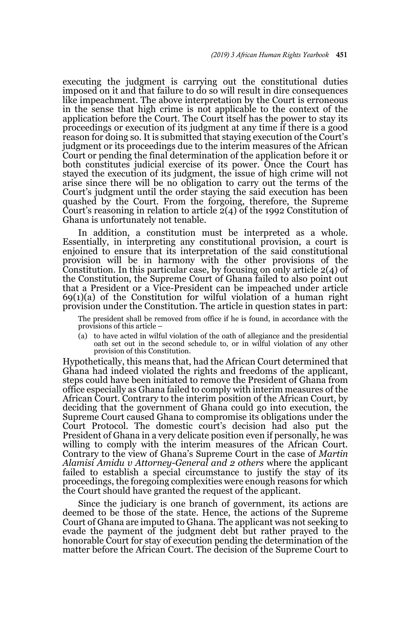executing the judgment is carrying out the constitutional duties imposed on it and that failure to do so will result in dire consequences like impeachment. The above interpretation by the Court is erroneous in the sense that high crime is not applicable to the context of the application before the Court. The Court itself has the power to stay its proceedings or execution of its judgment at any time if there is a good reason for doing so. It is submitted that staying execution of the Court's judgment or its proceedings due to the interim measures of the African Court or pending the final determination of the application before it or both constitutes judicial exercise of its power. Once the Court has stayed the execution of its judgment, the issue of high crime will not arise since there will be no obligation to carry out the terms of the Court's judgment until the order staying the said execution has been quashed by the Court. From the forgoing, therefore, the Supreme Court's reasoning in relation to article  $2(4)$  of the 1992 Constitution of Ghana is unfortunately not tenable.

In addition, a constitution must be interpreted as a whole. Essentially, in interpreting any constitutional provision, a court is enjoined to ensure that its interpretation of the said constitutional provision will be in harmony with the other provisions of the Constitution. In this particular case, by focusing on only article  $2(4)$  of the Constitution, the Supreme Court of Ghana failed to also point out that a President or a Vice-President can be impeached under article  $69(1)(a)$  of the Constitution for wilful violation of a human right provision under the Constitution. The article in question states in part:

The president shall be removed from office if he is found, in accordance with the provisions of this article –

(a) to have acted in wilful violation of the oath of allegiance and the presidential oath set out in the second schedule to, or in wilful violation of any other provision of this Constitution.

Hypothetically, this means that, had the African Court determined that Ghana had indeed violated the rights and freedoms of the applicant, steps could have been initiated to remove the President of Ghana from office especially as Ghana failed to comply with interim measures of the African Court. Contrary to the interim position of the African Court, by deciding that the government of Ghana could go into execution, the Supreme Court caused Ghana to compromise its obligations under the Court Protocol. The domestic court's decision had also put the President of Ghana in a very delicate position even if personally, he was willing to comply with the interim measures of the African Court. Contrary to the view of Ghana's Supreme Court in the case of *Martin Alamisi Amidu v Attorney-General and 2 others* where the applicant failed to establish a special circumstance to justify the stay of its proceedings, the foregoing complexities were enough reasons for which the Court should have granted the request of the applicant.

Since the judiciary is one branch of government, its actions are deemed to be those of the state. Hence, the actions of the Supreme Court of Ghana are imputed to Ghana. The applicant was not seeking to evade the payment of the judgment debt but rather prayed to the honorable Court for stay of execution pending the determination of the matter before the African Court. The decision of the Supreme Court to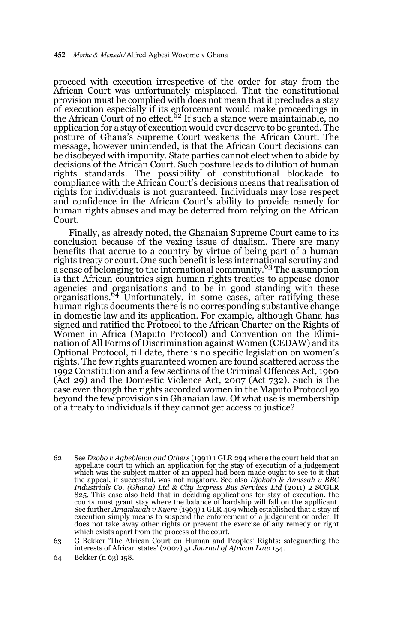proceed with execution irrespective of the order for stay from the African Court was unfortunately misplaced. That the constitutional provision must be complied with does not mean that it precludes a stay of execution especially if its enforcement would make proceedings in<br>the African Court of no effect.<sup>62</sup> If such a stance were maintainable, no application for a stay of execution would ever deserve to be granted. The posture of Ghana's Supreme Court weakens the African Court. The message, however unintended, is that the African Court decisions can be disobeyed with impunity. State parties cannot elect when to abide by decisions of the African Court. Such posture leads to dilution of human rights standards. The possibility of constitutional blockade to compliance with the African Court's decisions means that realisation of rights for individuals is not guaranteed. Individuals may lose respect and confidence in the African Court's ability to provide remedy for human rights abuses and may be deterred from relying on the African Court.

Finally, as already noted, the Ghanaian Supreme Court came to its conclusion because of the vexing issue of dualism. There are many benefits that accrue to a country by virtue of being part of a human rights treaty or court. One such benefit is less international scrutiny and a sense of belonging to the international community.<sup>63</sup> The assumption is that African countries sign human rights treaties to appease donor agencies and organisations and to be in good standing with these<br>organisations.<sup>64</sup> Unfortunately, in some cases, after ratifying these human rights documents there is no corresponding substantive change in domestic law and its application. For example, although Ghana has signed and ratified the Protocol to the African Charter on the Rights of Women in Africa (Maputo Protocol) and Convention on the Elimination of All Forms of Discrimination against Women (CEDAW) and its Optional Protocol, till date, there is no specific legislation on women's rights. The few rights guaranteed women are found scattered across the 1992 Constitution and a few sections of the Criminal Offences Act, 1960 (Act 29) and the Domestic Violence Act, 2007 (Act 732). Such is the case even though the rights accorded women in the Maputo Protocol go beyond the few provisions in Ghanaian law. Of what use is membership of a treaty to individuals if they cannot get access to justice?

- 62 See *Dzobo v Agbeblewu and Others* (1991) 1 GLR 294 where the court held that an appellate court to which an application for the stay of execution of a judgement which was the subject matter of an appeal had been made ought to see to it that the appeal, if successful, was not nugatory. See also *Djokoto & Amissah v BBC Industrials Co. (Ghana) Ltd & City Express Bus Services Ltd* (2011) 2 SCGLR 825. This case also held that in deciding applications for stay of execution, the courts must grant stay where the balance of hardship will fall on the appllicant. See further *Amankwah v Kyere* (1963) 1 GLR 409 which established that a stay of execution simply means to suspend the enforcement of a judgement or order. It does not take away other rights or prevent the exercise of any remedy or right which exists apart from the process of the court.
- 63 G Bekker 'The African Court on Human and Peoples' Rights: safeguarding the interests of African states' (2007) 51 *Journal of African Law* 154.
- 64 Bekker (n 63) 158.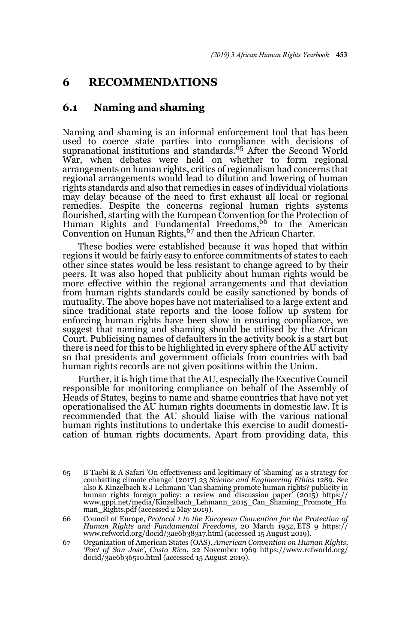### **6 RECOMMENDATIONS**

### **6.1 Naming and shaming**

Naming and shaming is an informal enforcement tool that has been used to coerce state parties into compliance with decisions of supranational institutions and standards.65 After the Second World War, when debates were held on whether to form regional arrangements on human rights, critics of regionalism had concerns that regional arrangements would lead to dilution and lowering of human rights standards and also that remedies in cases of individual violations may delay because of the need to first exhaust all local or regional remedies. Despite the concerns regional human rights systems flourished, starting with the European Convention for the Protection of<br>Human Rights and Fundamental Freedoms,<sup>66</sup> to the American Convention on Human Rights,67 and then the African Charter.

These bodies were established because it was hoped that within regions it would be fairly easy to enforce commitments of states to each other since states would be less resistant to change agreed to by their peers. It was also hoped that publicity about human rights would be more effective within the regional arrangements and that deviation from human rights standards could be easily sanctioned by bonds of mutuality. The above hopes have not materialised to a large extent and since traditional state reports and the loose follow up system for enforcing human rights have been slow in ensuring compliance, we suggest that naming and shaming should be utilised by the African Court. Publicising names of defaulters in the activity book is a start but there is need for this to be highlighted in every sphere of the AU activity so that presidents and government officials from countries with bad human rights records are not given positions within the Union.

Further, it is high time that the AU, especially the Executive Council responsible for monitoring compliance on behalf of the Assembly of Heads of States, begins to name and shame countries that have not yet operationalised the AU human rights documents in domestic law. It is recommended that the AU should liaise with the various national human rights institutions to undertake this exercise to audit domestication of human rights documents. Apart from providing data, this

66 Council of Europe, *Protocol 1 to the European Convention for the Protection of Human Rights and Fundamental Freedoms*, 20 March 1952, ETS 9 https:// www.refworld.org/docid/3ae6b38317.html (accessed 15 August 2019).

67 Organization of American States (OAS), *American Convention on Human Rights, 'Pact of San Jose', Costa Rica*, 22 November 1969 https://www.refworld.org/ docid/3ae6b36510.html (accessed 15 August 2019).

<sup>65</sup> B Taebi & A Safari 'On effectiveness and legitimacy of 'shaming' as a strategy for combatting climate change' (2017) 23 *Science and Engineering Ethics* 1289. See also K Kinzelbach & J Lehmann 'Can shaming promote human rights? publicity in human rights foreign policy: a review and discussion paper' (2015) https:// www.gppi.net/media/Kinzelbach\_Lehmann\_2015\_Can\_Shaming\_Promote\_Hu man\_Rights.pdf (accessed 2 May 2019).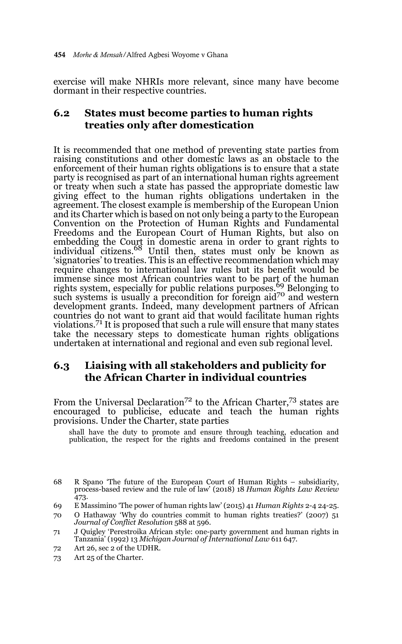exercise will make NHRIs more relevant, since many have become dormant in their respective countries.

### **6.2 States must become parties to human rights treaties only after domestication**

It is recommended that one method of preventing state parties from raising constitutions and other domestic laws as an obstacle to the enforcement of their human rights obligations is to ensure that a state party is recognised as part of an international human rights agreement or treaty when such a state has passed the appropriate domestic law giving effect to the human rights obligations undertaken in the agreement. The closest example is membership of the European Union and its Charter which is based on not only being a party to the European Convention on the Protection of Human Rights and Fundamental Freedoms and the European Court of Human Rights, but also on embedding the Court in domestic arena in order to grant rights to<br>individual citizens.<sup>68</sup> Until then, states must only be known as 'signatories' to treaties. This is an effective recommendation which may require changes to international law rules but its benefit would be immense since most African countries want to be part of the human<br>rights system, especially for public relations purposes.<sup>69</sup> Belonging to such systems is usually a precondition for foreign aid<sup>70</sup> and western development grants. Indeed, many development partners of African countries do not want to grant aid that would facilitate human rights violations.71 It is proposed that such a rule will ensure that many states take the necessary steps to domesticate human rights obligations undertaken at international and regional and even sub regional level.

### **6.3 Liaising with all stakeholders and publicity for the African Charter in individual countries**

From the Universal Declaration<sup>72</sup> to the African Charter,<sup>73</sup> states are encouraged to publicise, educate and teach the human rights provisions. Under the Charter, state parties

shall have the duty to promote and ensure through teaching, education and publication, the respect for the rights and freedoms contained in the present

72 Art 26, sec 2 of the UDHR.

<sup>68</sup> R Spano 'The future of the European Court of Human Rights – subsidiarity, process-based review and the rule of law' (2018) 18 *Human Rights Law Review* 473.

<sup>69</sup> E Massimino 'The power of human rights law' (2015) 41 *Human Rights* 2-4 24-25.

<sup>70</sup> O Hathaway 'Why do countries commit to human rights treaties?' (2007) 51 *Journal of Conflict Resolution* 588 at 596.

<sup>71</sup> J Quigley 'Perestroika African style: one-party government and human rights in Tanzania' (1992) 13 *Michigan Journal of International Law* 611 647.

<sup>73</sup> Art 25 of the Charter.